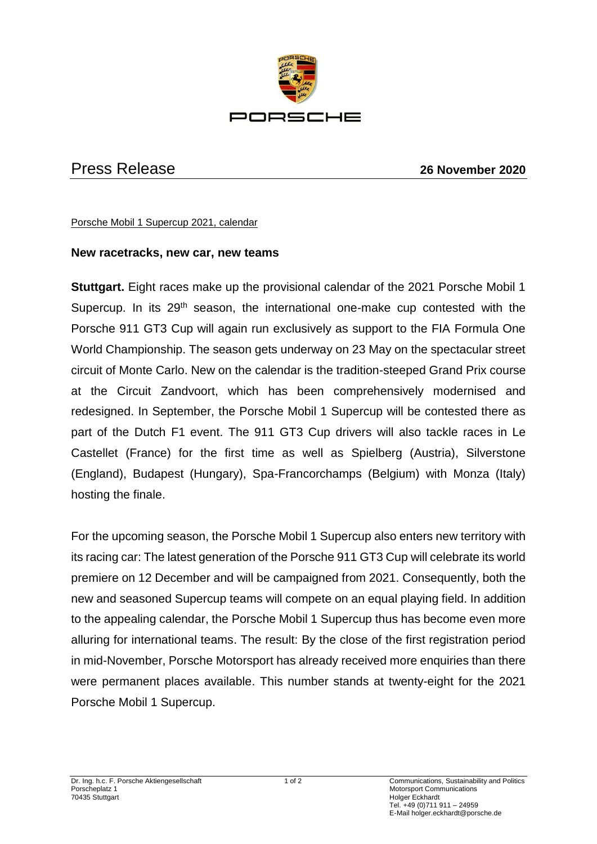

## Press Release **26 November 2020**

Porsche Mobil 1 Supercup 2021, calendar

## **New racetracks, new car, new teams**

**Stuttgart.** Eight races make up the provisional calendar of the 2021 Porsche Mobil 1 Supercup. In its  $29<sup>th</sup>$  season, the international one-make cup contested with the Porsche 911 GT3 Cup will again run exclusively as support to the FIA Formula One World Championship. The season gets underway on 23 May on the spectacular street circuit of Monte Carlo. New on the calendar is the tradition-steeped Grand Prix course at the Circuit Zandvoort, which has been comprehensively modernised and redesigned. In September, the Porsche Mobil 1 Supercup will be contested there as part of the Dutch F1 event. The 911 GT3 Cup drivers will also tackle races in Le Castellet (France) for the first time as well as Spielberg (Austria), Silverstone (England), Budapest (Hungary), Spa-Francorchamps (Belgium) with Monza (Italy) hosting the finale.

For the upcoming season, the Porsche Mobil 1 Supercup also enters new territory with its racing car: The latest generation of the Porsche 911 GT3 Cup will celebrate its world premiere on 12 December and will be campaigned from 2021. Consequently, both the new and seasoned Supercup teams will compete on an equal playing field. In addition to the appealing calendar, the Porsche Mobil 1 Supercup thus has become even more alluring for international teams. The result: By the close of the first registration period in mid-November, Porsche Motorsport has already received more enquiries than there were permanent places available. This number stands at twenty-eight for the 2021 Porsche Mobil 1 Supercup.